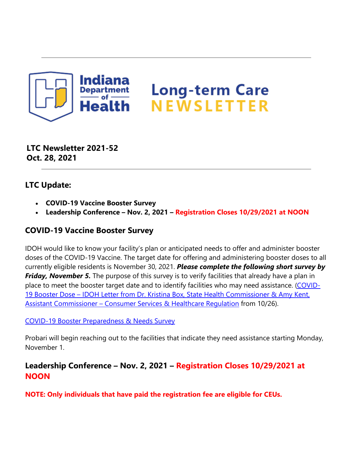

# **Long-term Care** NEWSLETTER

**LTC Newsletter 2021-52 Oct. 28, 2021**

#### **LTC Update:**

- **COVID-19 Vaccine Booster Survey**
- **Leadership Conference Nov. 2, 2021 Registration Closes 10/29/2021 at NOON**

## **COVID-19 Vaccine Booster Survey**

IDOH would like to know your facility's plan or anticipated needs to offer and administer booster doses of the COVID-19 Vaccine. The target date for offering and administering booster doses to all currently eligible residents is November 30, 2021. *Please complete the following short survey by Friday, November 5.* The purpose of this survey is to verify facilities that already have a plan in place to meet the booster target date and to identify facilities who may need assistance. [\(COVID-](https://protect2.fireeye.com/v1/url?k=eb7c3650-b4e70f4f-eb787f50-8630ffab37ab-27f2424a6b2d2a97&q=1&e=8607ce8c-ae0c-4def-8e8c-94c5dd442eb1&u=https%3A%2F%2Fcontent.govdelivery.com%2Fattachments%2FINSDH%2F2021%2F10%2F26%2Ffile_attachments%2F1977221%2FDr.%2520Box%2520%2520Amy%2520Kent%2520-%2520LTC%2520Facility%2520Booster%2520Letter_October%252026%25202021.pdf)19 Booster Dose - IDOH Letter from Dr. Kristina Box, State Health Commissioner & Amy Kent, [Assistant Commissioner – Consumer Services & Healthcare](https://protect2.fireeye.com/v1/url?k=eb7c3650-b4e70f4f-eb787f50-8630ffab37ab-27f2424a6b2d2a97&q=1&e=8607ce8c-ae0c-4def-8e8c-94c5dd442eb1&u=https%3A%2F%2Fcontent.govdelivery.com%2Fattachments%2FINSDH%2F2021%2F10%2F26%2Ffile_attachments%2F1977221%2FDr.%2520Box%2520%2520Amy%2520Kent%2520-%2520LTC%2520Facility%2520Booster%2520Letter_October%252026%25202021.pdf) Regulation from 10/26).

#### [COVID-19 Booster Preparedness & Needs Survey](https://redcap.isdh.in.gov/surveys/?s=CJKY8K84K4)

Probari will begin reaching out to the facilities that indicate they need assistance starting Monday, November 1.

## **Leadership Conference – Nov. 2, 2021 – Registration Closes 10/29/2021 at NOON**

**NOTE: Only individuals that have paid the registration fee are eligible for CEUs.**